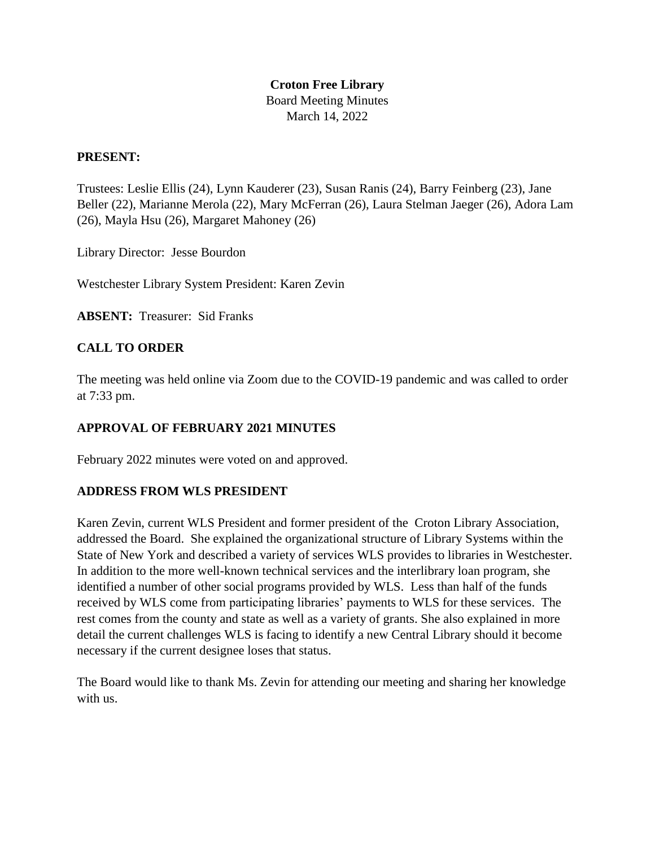## **Croton Free Library**  Board Meeting Minutes March 14, 2022

### **PRESENT:**

Trustees: Leslie Ellis (24), Lynn Kauderer (23), Susan Ranis (24), Barry Feinberg (23), Jane Beller (22), Marianne Merola (22), Mary McFerran (26), Laura Stelman Jaeger (26), Adora Lam (26), Mayla Hsu (26), Margaret Mahoney (26)

Library Director: Jesse Bourdon

Westchester Library System President: Karen Zevin

**ABSENT:** Treasurer: Sid Franks

## **CALL TO ORDER**

The meeting was held online via Zoom due to the COVID-19 pandemic and was called to order at 7:33 pm.

### **APPROVAL OF FEBRUARY 2021 MINUTES**

February 2022 minutes were voted on and approved.

### **ADDRESS FROM WLS PRESIDENT**

Karen Zevin, current WLS President and former president of the Croton Library Association, addressed the Board. She explained the organizational structure of Library Systems within the State of New York and described a variety of services WLS provides to libraries in Westchester. In addition to the more well-known technical services and the interlibrary loan program, she identified a number of other social programs provided by WLS. Less than half of the funds received by WLS come from participating libraries' payments to WLS for these services. The rest comes from the county and state as well as a variety of grants. She also explained in more detail the current challenges WLS is facing to identify a new Central Library should it become necessary if the current designee loses that status.

The Board would like to thank Ms. Zevin for attending our meeting and sharing her knowledge with us.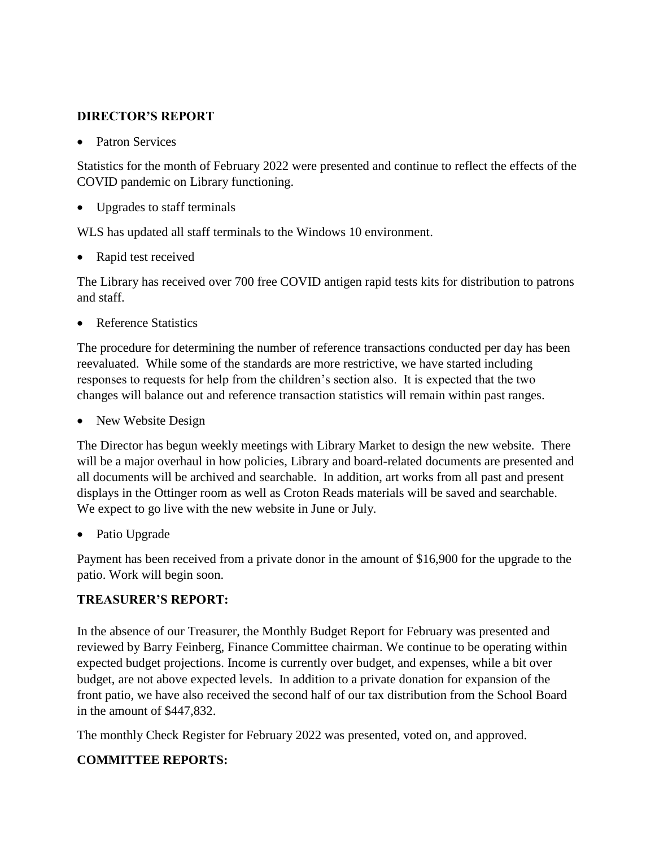## **DIRECTOR'S REPORT**

• Patron Services

Statistics for the month of February 2022 were presented and continue to reflect the effects of the COVID pandemic on Library functioning.

• Upgrades to staff terminals

WLS has updated all staff terminals to the Windows 10 environment.

• Rapid test received

The Library has received over 700 free COVID antigen rapid tests kits for distribution to patrons and staff.

Reference Statistics

The procedure for determining the number of reference transactions conducted per day has been reevaluated. While some of the standards are more restrictive, we have started including responses to requests for help from the children's section also. It is expected that the two changes will balance out and reference transaction statistics will remain within past ranges.

• New Website Design

The Director has begun weekly meetings with Library Market to design the new website. There will be a major overhaul in how policies, Library and board-related documents are presented and all documents will be archived and searchable. In addition, art works from all past and present displays in the Ottinger room as well as Croton Reads materials will be saved and searchable. We expect to go live with the new website in June or July.

Patio Upgrade

Payment has been received from a private donor in the amount of \$16,900 for the upgrade to the patio. Work will begin soon.

## **TREASURER'S REPORT:**

In the absence of our Treasurer, the Monthly Budget Report for February was presented and reviewed by Barry Feinberg, Finance Committee chairman. We continue to be operating within expected budget projections. Income is currently over budget, and expenses, while a bit over budget, are not above expected levels. In addition to a private donation for expansion of the front patio, we have also received the second half of our tax distribution from the School Board in the amount of \$447,832.

The monthly Check Register for February 2022 was presented, voted on, and approved.

## **COMMITTEE REPORTS:**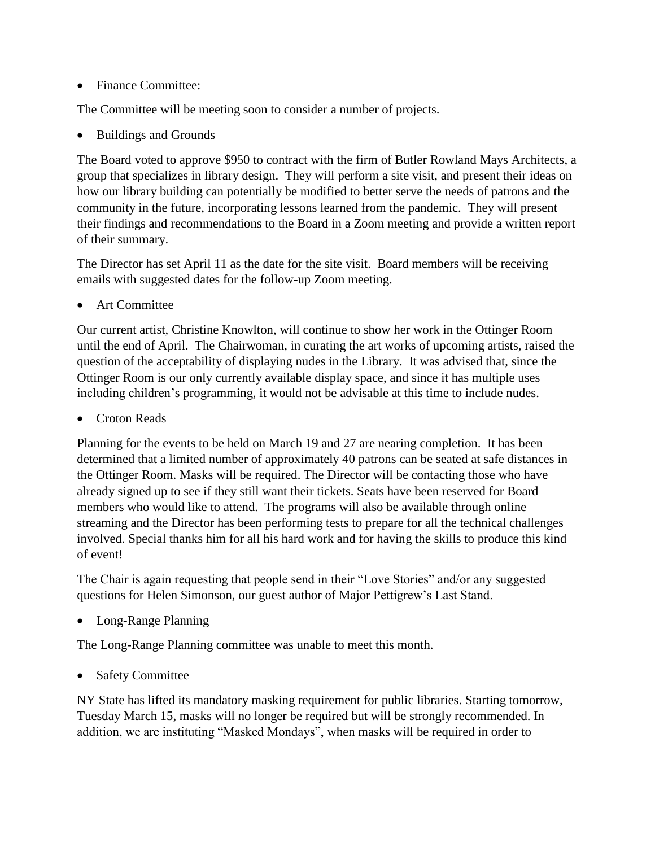• Finance Committee:

The Committee will be meeting soon to consider a number of projects.

Buildings and Grounds

The Board voted to approve \$950 to contract with the firm of Butler Rowland Mays Architects, a group that specializes in library design. They will perform a site visit, and present their ideas on how our library building can potentially be modified to better serve the needs of patrons and the community in the future, incorporating lessons learned from the pandemic. They will present their findings and recommendations to the Board in a Zoom meeting and provide a written report of their summary.

The Director has set April 11 as the date for the site visit. Board members will be receiving emails with suggested dates for the follow-up Zoom meeting.

Art Committee

Our current artist, Christine Knowlton, will continue to show her work in the Ottinger Room until the end of April. The Chairwoman, in curating the art works of upcoming artists, raised the question of the acceptability of displaying nudes in the Library. It was advised that, since the Ottinger Room is our only currently available display space, and since it has multiple uses including children's programming, it would not be advisable at this time to include nudes.

Croton Reads

Planning for the events to be held on March 19 and 27 are nearing completion. It has been determined that a limited number of approximately 40 patrons can be seated at safe distances in the Ottinger Room. Masks will be required. The Director will be contacting those who have already signed up to see if they still want their tickets. Seats have been reserved for Board members who would like to attend. The programs will also be available through online streaming and the Director has been performing tests to prepare for all the technical challenges involved. Special thanks him for all his hard work and for having the skills to produce this kind of event!

The Chair is again requesting that people send in their "Love Stories" and/or any suggested questions for Helen Simonson, our guest author of Major Pettigrew's Last Stand.

Long-Range Planning

The Long-Range Planning committee was unable to meet this month.

Safety Committee

NY State has lifted its mandatory masking requirement for public libraries. Starting tomorrow, Tuesday March 15, masks will no longer be required but will be strongly recommended. In addition, we are instituting "Masked Mondays", when masks will be required in order to